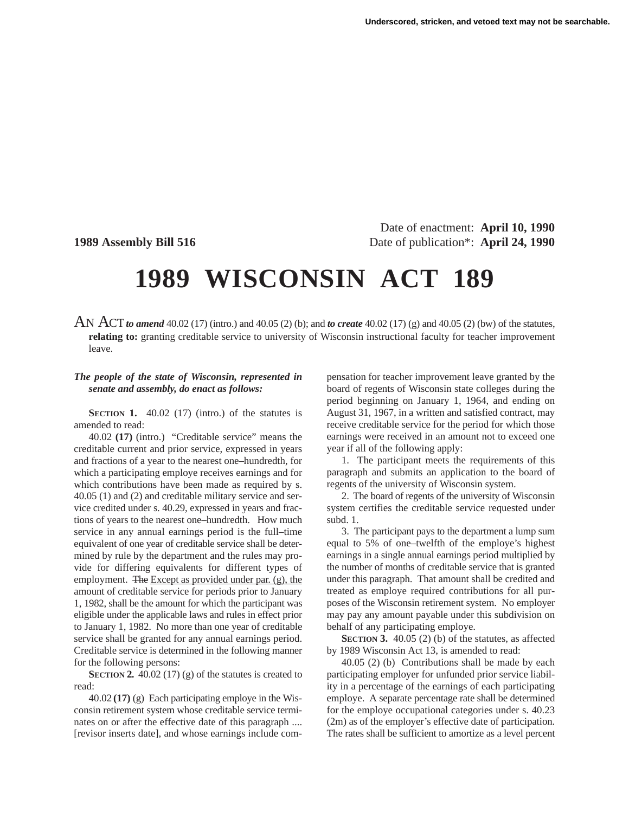Date of enactment: **April 10, 1990 1989 Assembly Bill 516** Date of publication\*: **April 24, 1990**

## **1989 WISCONSIN ACT 189**

AN ACT*to amend* 40.02 (17) (intro.) and 40.05 (2) (b); and *to create* 40.02 (17) (g) and 40.05 (2) (bw) of the statutes, **relating to:** granting creditable service to university of Wisconsin instructional faculty for teacher improvement leave.

## *The people of the state of Wisconsin, represented in senate and assembly, do enact as follows:*

**SECTION 1.** 40.02 (17) (intro.) of the statutes is amended to read:

40.02 **(17)** (intro.) "Creditable service" means the creditable current and prior service, expressed in years and fractions of a year to the nearest one–hundredth, for which a participating employe receives earnings and for which contributions have been made as required by s. 40.05 (1) and (2) and creditable military service and service credited under s. 40.29, expressed in years and fractions of years to the nearest one–hundredth. How much service in any annual earnings period is the full–time equivalent of one year of creditable service shall be determined by rule by the department and the rules may provide for differing equivalents for different types of employment. The Except as provided under par. (g), the amount of creditable service for periods prior to January 1, 1982, shall be the amount for which the participant was eligible under the applicable laws and rules in effect prior to January 1, 1982. No more than one year of creditable service shall be granted for any annual earnings period. Creditable service is determined in the following manner for the following persons:

**SECTION 2.** 40.02 (17) (g) of the statutes is created to read:

40.02 **(17)** (g) Each participating employe in the Wisconsin retirement system whose creditable service terminates on or after the effective date of this paragraph .... [revisor inserts date], and whose earnings include com-

pensation for teacher improvement leave granted by the board of regents of Wisconsin state colleges during the period beginning on January 1, 1964, and ending on August 31, 1967, in a written and satisfied contract, may receive creditable service for the period for which those earnings were received in an amount not to exceed one year if all of the following apply:

1. The participant meets the requirements of this paragraph and submits an application to the board of regents of the university of Wisconsin system.

2. The board of regents of the university of Wisconsin system certifies the creditable service requested under subd. 1.

3. The participant pays to the department a lump sum equal to 5% of one–twelfth of the employe's highest earnings in a single annual earnings period multiplied by the number of months of creditable service that is granted under this paragraph. That amount shall be credited and treated as employe required contributions for all purposes of the Wisconsin retirement system. No employer may pay any amount payable under this subdivision on behalf of any participating employe.

**SECTION 3.** 40.05 (2) (b) of the statutes, as affected by 1989 Wisconsin Act 13, is amended to read:

40.05 (2) (b) Contributions shall be made by each participating employer for unfunded prior service liability in a percentage of the earnings of each participating employe. A separate percentage rate shall be determined for the employe occupational categories under s. 40.23 (2m) as of the employer's effective date of participation. The rates shall be sufficient to amortize as a level percent